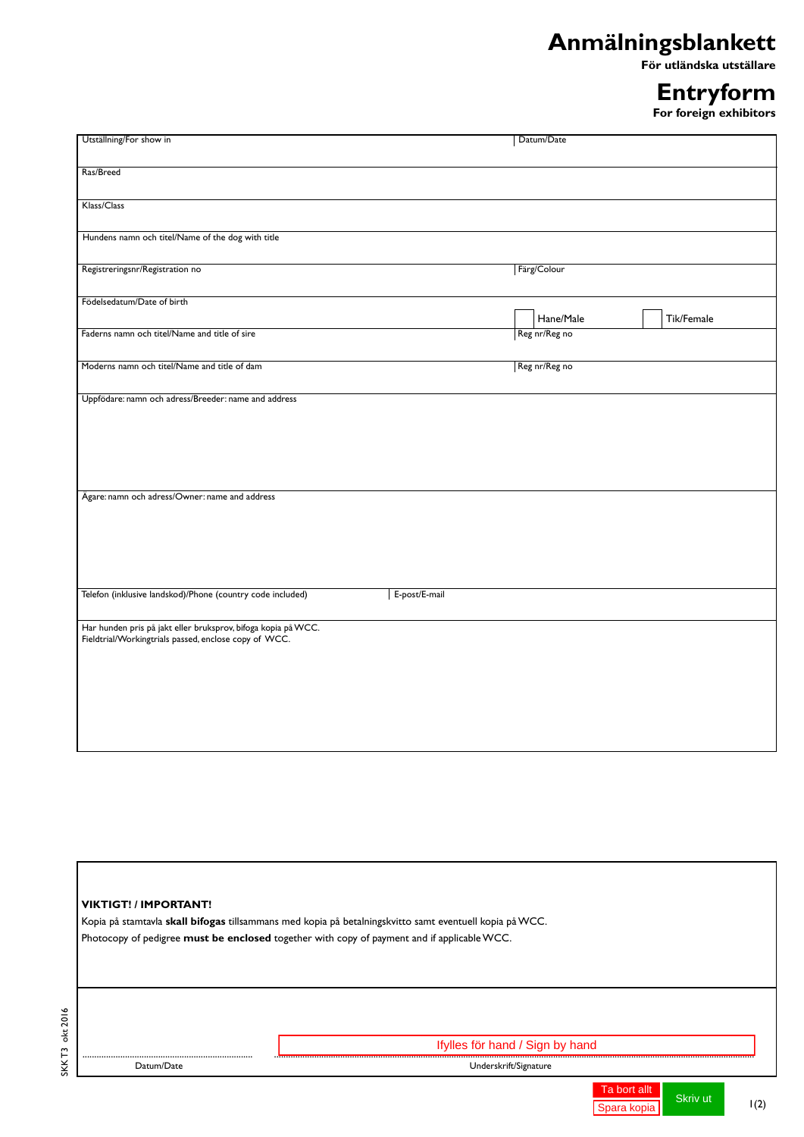## **Anmälningsblankett**

 **För utländska utställare**

## **Entryform**

**For foreign exhibitors**

| Utställning/For show in                                                                                                |               | Datum/Date    |            |
|------------------------------------------------------------------------------------------------------------------------|---------------|---------------|------------|
|                                                                                                                        |               |               |            |
| Ras/Breed                                                                                                              |               |               |            |
|                                                                                                                        |               |               |            |
|                                                                                                                        |               |               |            |
| Klass/Class                                                                                                            |               |               |            |
|                                                                                                                        |               |               |            |
| Hundens namn och titel/Name of the dog with title                                                                      |               |               |            |
|                                                                                                                        |               |               |            |
| Registreringsnr/Registration no                                                                                        |               | Färg/Colour   |            |
|                                                                                                                        |               |               |            |
| Födelsedatum/Date of birth                                                                                             |               |               |            |
|                                                                                                                        |               | Hane/Male     | Tik/Female |
| Faderns namn och titel/Name and title of sire                                                                          |               | Reg nr/Reg no |            |
|                                                                                                                        |               |               |            |
| Moderns namn och titel/Name and title of dam                                                                           |               | Reg nr/Reg no |            |
|                                                                                                                        |               |               |            |
| Uppfödare: namn och adress/Breeder: name and address                                                                   |               |               |            |
|                                                                                                                        |               |               |            |
|                                                                                                                        |               |               |            |
|                                                                                                                        |               |               |            |
|                                                                                                                        |               |               |            |
|                                                                                                                        |               |               |            |
|                                                                                                                        |               |               |            |
| Ägare: namn och adress/Owner: name and address                                                                         |               |               |            |
|                                                                                                                        |               |               |            |
|                                                                                                                        |               |               |            |
|                                                                                                                        |               |               |            |
|                                                                                                                        |               |               |            |
|                                                                                                                        |               |               |            |
| Telefon (inklusive landskod)/Phone (country code included)                                                             | E-post/E-mail |               |            |
|                                                                                                                        |               |               |            |
|                                                                                                                        |               |               |            |
| Har hunden pris på jakt eller bruksprov, bifoga kopia på WCC.<br>Fieldtrial/Workingtrials passed, enclose copy of WCC. |               |               |            |
|                                                                                                                        |               |               |            |
|                                                                                                                        |               |               |            |
|                                                                                                                        |               |               |            |
|                                                                                                                        |               |               |            |
|                                                                                                                        |               |               |            |
|                                                                                                                        |               |               |            |
|                                                                                                                        |               |               |            |
|                                                                                                                        |               |               |            |

| <b>VIKTIGT! / IMPORTANT!</b> |                                                                                                         |  |
|------------------------------|---------------------------------------------------------------------------------------------------------|--|
|                              | Kopia på stamtavla skall bifogas tillsammans med kopia på betalningskvitto samt eventuell kopia på WCC. |  |
|                              | Photocopy of pedigree must be enclosed together with copy of payment and if applicable WCC.             |  |
|                              |                                                                                                         |  |
|                              |                                                                                                         |  |
|                              |                                                                                                         |  |
|                              |                                                                                                         |  |
|                              |                                                                                                         |  |
|                              |                                                                                                         |  |
|                              | Ifylles för hand / Sign by hand                                                                         |  |
|                              |                                                                                                         |  |

SKK T3 okt 2016

SKKT3 okt 2016

Spara kopia